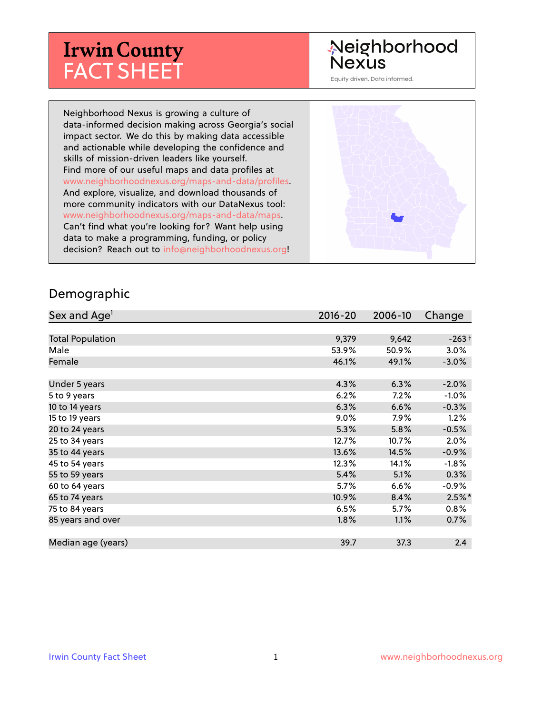# **Irwin County** FACT SHEET

#### Neighborhood **Nexus**

Equity driven. Data informed.

Neighborhood Nexus is growing a culture of data-informed decision making across Georgia's social impact sector. We do this by making data accessible and actionable while developing the confidence and skills of mission-driven leaders like yourself. Find more of our useful maps and data profiles at www.neighborhoodnexus.org/maps-and-data/profiles. And explore, visualize, and download thousands of more community indicators with our DataNexus tool: www.neighborhoodnexus.org/maps-and-data/maps. Can't find what you're looking for? Want help using data to make a programming, funding, or policy decision? Reach out to [info@neighborhoodnexus.org!](mailto:info@neighborhoodnexus.org)



#### Demographic

| Sex and Age <sup>1</sup> | $2016 - 20$ | 2006-10 | Change    |
|--------------------------|-------------|---------|-----------|
|                          |             |         |           |
| <b>Total Population</b>  | 9,379       | 9,642   | $-263+$   |
| Male                     | 53.9%       | 50.9%   | 3.0%      |
| Female                   | 46.1%       | 49.1%   | $-3.0%$   |
|                          |             |         |           |
| Under 5 years            | 4.3%        | 6.3%    | $-2.0%$   |
| 5 to 9 years             | 6.2%        | 7.2%    | $-1.0%$   |
| 10 to 14 years           | 6.3%        | 6.6%    | $-0.3%$   |
| 15 to 19 years           | 9.0%        | $7.9\%$ | 1.2%      |
| 20 to 24 years           | 5.3%        | 5.8%    | $-0.5%$   |
| 25 to 34 years           | 12.7%       | 10.7%   | 2.0%      |
| 35 to 44 years           | 13.6%       | 14.5%   | $-0.9\%$  |
| 45 to 54 years           | 12.3%       | 14.1%   | $-1.8%$   |
| 55 to 59 years           | 5.4%        | 5.1%    | 0.3%      |
| 60 to 64 years           | 5.7%        | 6.6%    | $-0.9%$   |
| 65 to 74 years           | 10.9%       | 8.4%    | $2.5\%$ * |
| 75 to 84 years           | 6.5%        | $5.7\%$ | 0.8%      |
| 85 years and over        | $1.8\%$     | 1.1%    | 0.7%      |
|                          |             |         |           |
| Median age (years)       | 39.7        | 37.3    | 2.4       |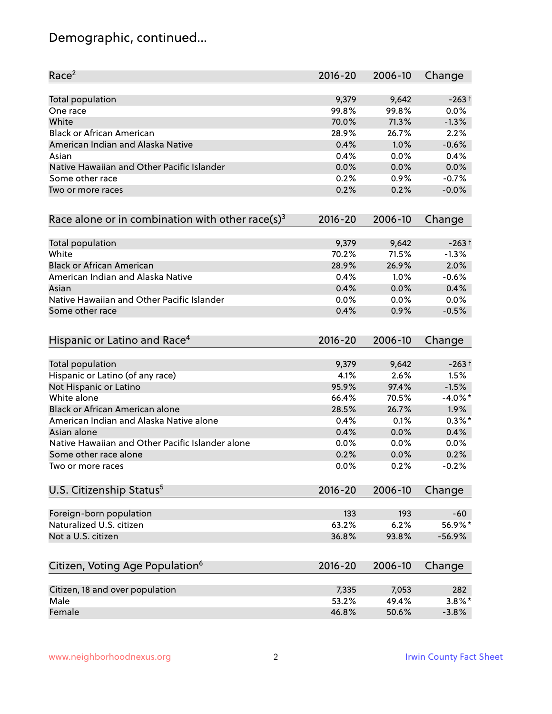# Demographic, continued...

| Race <sup>2</sup>                                            | $2016 - 20$ | 2006-10 | Change     |
|--------------------------------------------------------------|-------------|---------|------------|
| <b>Total population</b>                                      | 9,379       | 9,642   | $-263+$    |
| One race                                                     | 99.8%       | 99.8%   | 0.0%       |
| White                                                        | 70.0%       | 71.3%   | $-1.3%$    |
| <b>Black or African American</b>                             | 28.9%       | 26.7%   | 2.2%       |
| American Indian and Alaska Native                            | 0.4%        | 1.0%    | $-0.6%$    |
| Asian                                                        | 0.4%        | 0.0%    | 0.4%       |
| Native Hawaiian and Other Pacific Islander                   | 0.0%        | 0.0%    | 0.0%       |
| Some other race                                              | 0.2%        | 0.9%    | $-0.7%$    |
| Two or more races                                            | 0.2%        | 0.2%    | $-0.0%$    |
| Race alone or in combination with other race(s) <sup>3</sup> | $2016 - 20$ | 2006-10 | Change     |
| Total population                                             | 9,379       | 9,642   | $-263+$    |
| White                                                        | 70.2%       | 71.5%   | $-1.3%$    |
| <b>Black or African American</b>                             | 28.9%       | 26.9%   | 2.0%       |
| American Indian and Alaska Native                            | 0.4%        | 1.0%    | $-0.6%$    |
| Asian                                                        | 0.4%        | 0.0%    | 0.4%       |
| Native Hawaiian and Other Pacific Islander                   | 0.0%        | 0.0%    | 0.0%       |
| Some other race                                              | 0.4%        | 0.9%    | $-0.5%$    |
| Hispanic or Latino and Race <sup>4</sup>                     | $2016 - 20$ | 2006-10 | Change     |
| Total population                                             | 9,379       | 9,642   | $-263+$    |
| Hispanic or Latino (of any race)                             | 4.1%        | 2.6%    | 1.5%       |
| Not Hispanic or Latino                                       | 95.9%       | 97.4%   | $-1.5%$    |
| White alone                                                  | 66.4%       | 70.5%   | $-4.0\%$ * |
| Black or African American alone                              | 28.5%       | 26.7%   | 1.9%       |
| American Indian and Alaska Native alone                      | 0.4%        | 0.1%    | $0.3\%$ *  |
| Asian alone                                                  | 0.4%        | 0.0%    | 0.4%       |
| Native Hawaiian and Other Pacific Islander alone             | 0.0%        | 0.0%    | 0.0%       |
| Some other race alone                                        | 0.2%        | 0.0%    | 0.2%       |
| Two or more races                                            | 0.0%        | 0.2%    | $-0.2%$    |
| U.S. Citizenship Status <sup>5</sup>                         | $2016 - 20$ | 2006-10 | Change     |
| Foreign-born population                                      | 133         | 193     | $-60$      |
| Naturalized U.S. citizen                                     | 63.2%       | 6.2%    | 56.9%*     |
| Not a U.S. citizen                                           | 36.8%       | 93.8%   | $-56.9%$   |
|                                                              | $2016 - 20$ | 2006-10 |            |
| Citizen, Voting Age Population <sup>6</sup>                  |             |         | Change     |
| Citizen, 18 and over population                              | 7,335       | 7,053   | 282        |
| Male                                                         | 53.2%       | 49.4%   | $3.8\%$ *  |
| Female                                                       | 46.8%       | 50.6%   | $-3.8%$    |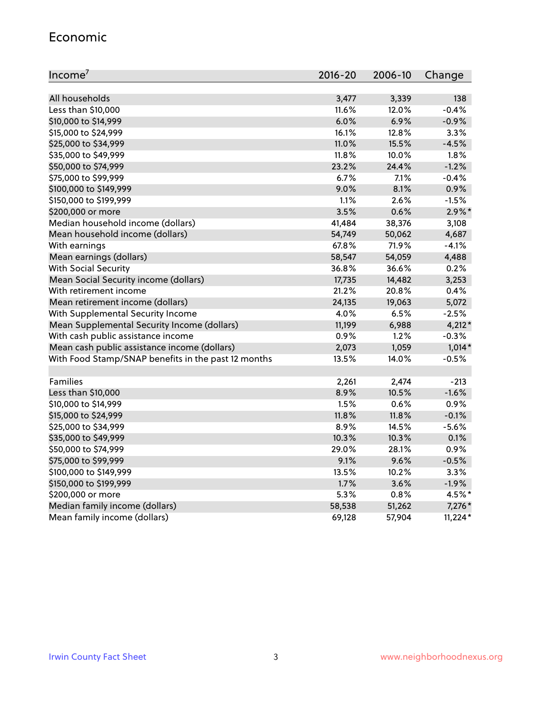#### Economic

| Income <sup>7</sup>                                 | $2016 - 20$ | 2006-10 | Change    |
|-----------------------------------------------------|-------------|---------|-----------|
|                                                     |             |         |           |
| All households                                      | 3,477       | 3,339   | 138       |
| Less than \$10,000                                  | 11.6%       | 12.0%   | $-0.4%$   |
| \$10,000 to \$14,999                                | 6.0%        | 6.9%    | $-0.9%$   |
| \$15,000 to \$24,999                                | 16.1%       | 12.8%   | 3.3%      |
| \$25,000 to \$34,999                                | 11.0%       | 15.5%   | $-4.5%$   |
| \$35,000 to \$49,999                                | 11.8%       | 10.0%   | 1.8%      |
| \$50,000 to \$74,999                                | 23.2%       | 24.4%   | $-1.2%$   |
| \$75,000 to \$99,999                                | 6.7%        | 7.1%    | $-0.4%$   |
| \$100,000 to \$149,999                              | 9.0%        | 8.1%    | 0.9%      |
| \$150,000 to \$199,999                              | 1.1%        | 2.6%    | $-1.5%$   |
| \$200,000 or more                                   | 3.5%        | 0.6%    | $2.9\%$ * |
| Median household income (dollars)                   | 41,484      | 38,376  | 3,108     |
| Mean household income (dollars)                     | 54,749      | 50,062  | 4,687     |
| With earnings                                       | 67.8%       | 71.9%   | $-4.1%$   |
| Mean earnings (dollars)                             | 58,547      | 54,059  | 4,488     |
| <b>With Social Security</b>                         | 36.8%       | 36.6%   | 0.2%      |
| Mean Social Security income (dollars)               | 17,735      | 14,482  | 3,253     |
| With retirement income                              | 21.2%       | 20.8%   | 0.4%      |
| Mean retirement income (dollars)                    | 24,135      | 19,063  | 5,072     |
| With Supplemental Security Income                   | 4.0%        | 6.5%    | $-2.5%$   |
| Mean Supplemental Security Income (dollars)         | 11,199      | 6,988   | $4,212*$  |
| With cash public assistance income                  | 0.9%        | 1.2%    | $-0.3%$   |
| Mean cash public assistance income (dollars)        | 2,073       | 1,059   | $1,014*$  |
| With Food Stamp/SNAP benefits in the past 12 months | 13.5%       | 14.0%   | $-0.5%$   |
|                                                     |             |         |           |
| Families                                            | 2,261       | 2,474   | $-213$    |
| Less than \$10,000                                  | 8.9%        | 10.5%   | $-1.6%$   |
| \$10,000 to \$14,999                                | 1.5%        | 0.6%    | 0.9%      |
| \$15,000 to \$24,999                                | 11.8%       | 11.8%   | $-0.1%$   |
| \$25,000 to \$34,999                                | 8.9%        | 14.5%   | $-5.6%$   |
| \$35,000 to \$49,999                                | 10.3%       | 10.3%   | 0.1%      |
| \$50,000 to \$74,999                                | 29.0%       | 28.1%   | 0.9%      |
| \$75,000 to \$99,999                                | 9.1%        | 9.6%    | $-0.5%$   |
| \$100,000 to \$149,999                              | 13.5%       | 10.2%   | 3.3%      |
| \$150,000 to \$199,999                              | 1.7%        | 3.6%    | $-1.9%$   |
| \$200,000 or more                                   | 5.3%        | 0.8%    | 4.5%*     |
| Median family income (dollars)                      | 58,538      | 51,262  | $7,276*$  |
| Mean family income (dollars)                        | 69,128      | 57,904  | $11,224*$ |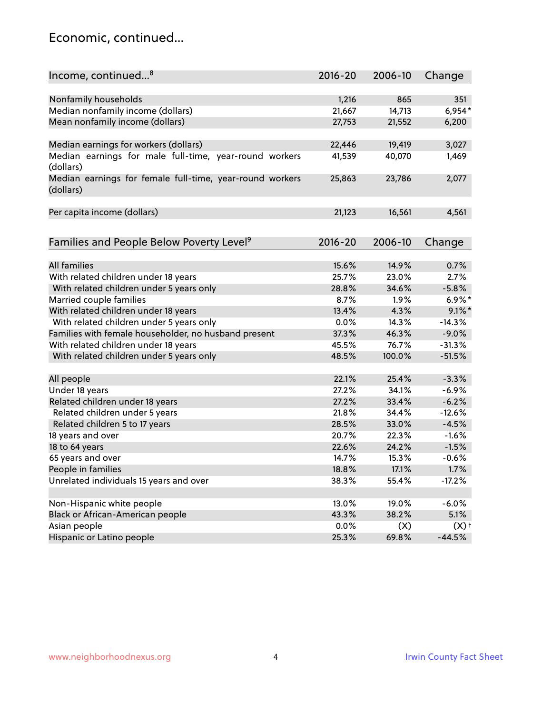#### Economic, continued...

| Income, continued <sup>8</sup>                                        | $2016 - 20$   | 2006-10        | Change             |
|-----------------------------------------------------------------------|---------------|----------------|--------------------|
|                                                                       |               |                |                    |
| Nonfamily households                                                  | 1,216         | 865            | 351                |
| Median nonfamily income (dollars)                                     | 21,667        | 14,713         | $6,954*$           |
| Mean nonfamily income (dollars)                                       | 27,753        | 21,552         | 6,200              |
| Median earnings for workers (dollars)                                 | 22,446        | 19,419         | 3,027              |
| Median earnings for male full-time, year-round workers                | 41,539        | 40,070         | 1,469              |
| (dollars)                                                             |               |                |                    |
| Median earnings for female full-time, year-round workers<br>(dollars) | 25,863        | 23,786         | 2,077              |
| Per capita income (dollars)                                           | 21,123        | 16,561         | 4,561              |
|                                                                       |               |                |                    |
| Families and People Below Poverty Level <sup>9</sup>                  | $2016 - 20$   | 2006-10        | Change             |
| <b>All families</b>                                                   |               |                |                    |
|                                                                       | 15.6%         | 14.9%<br>23.0% | 0.7%               |
| With related children under 18 years                                  | 25.7%         |                | 2.7%               |
| With related children under 5 years only                              | 28.8%<br>8.7% | 34.6%          | $-5.8%$            |
| Married couple families                                               |               | 1.9%           | $6.9\%$ *          |
| With related children under 18 years                                  | 13.4%         | 4.3%           | $9.1\%$ *          |
| With related children under 5 years only                              | 0.0%          | 14.3%          | $-14.3%$           |
| Families with female householder, no husband present                  | 37.3%         | 46.3%          | $-9.0%$            |
| With related children under 18 years                                  | 45.5%         | 76.7%          | $-31.3%$           |
| With related children under 5 years only                              | 48.5%         | 100.0%         | $-51.5%$           |
| All people                                                            | 22.1%         | 25.4%          | $-3.3%$            |
| Under 18 years                                                        | 27.2%         | 34.1%          | $-6.9%$            |
| Related children under 18 years                                       | 27.2%         | 33.4%          | $-6.2%$            |
| Related children under 5 years                                        | 21.8%         | 34.4%          | $-12.6%$           |
| Related children 5 to 17 years                                        | 28.5%         | 33.0%          | $-4.5%$            |
| 18 years and over                                                     | 20.7%         | 22.3%          | $-1.6%$            |
| 18 to 64 years                                                        | 22.6%         | 24.2%          | $-1.5%$            |
| 65 years and over                                                     | 14.7%         | 15.3%          | $-0.6%$            |
| People in families                                                    | 18.8%         | 17.1%          | 1.7%               |
| Unrelated individuals 15 years and over                               | 38.3%         | 55.4%          | $-17.2%$           |
| Non-Hispanic white people                                             | 13.0%         | 19.0%          | $-6.0%$            |
| Black or African-American people                                      | 43.3%         | 38.2%          | 5.1%               |
| Asian people                                                          | 0.0%          | (X)            | $(X)$ <sup>+</sup> |
| Hispanic or Latino people                                             | 25.3%         | 69.8%          | $-44.5%$           |
|                                                                       |               |                |                    |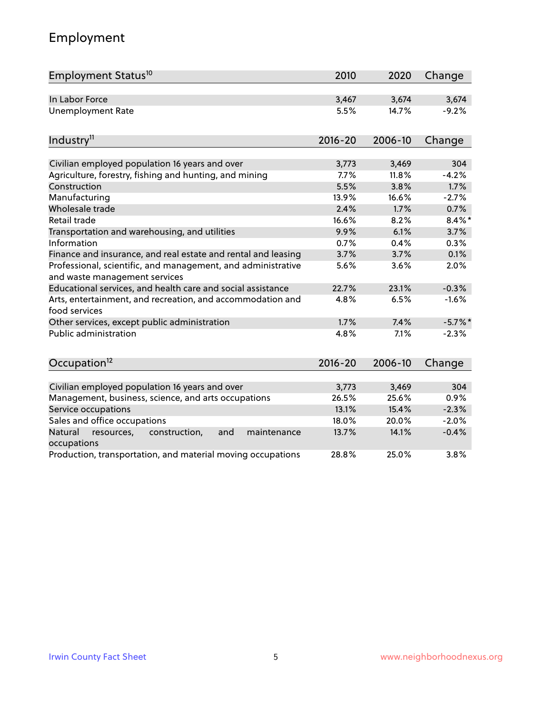# Employment

| Employment Status <sup>10</sup>                                                               | 2010        | 2020    | Change     |
|-----------------------------------------------------------------------------------------------|-------------|---------|------------|
| In Labor Force                                                                                | 3,467       | 3,674   | 3,674      |
| <b>Unemployment Rate</b>                                                                      | 5.5%        | 14.7%   | $-9.2%$    |
| Industry <sup>11</sup>                                                                        | $2016 - 20$ | 2006-10 | Change     |
|                                                                                               |             |         |            |
| Civilian employed population 16 years and over                                                | 3,773       | 3,469   | 304        |
| Agriculture, forestry, fishing and hunting, and mining                                        | 7.7%        | 11.8%   | $-4.2%$    |
| Construction                                                                                  | 5.5%        | 3.8%    | 1.7%       |
| Manufacturing                                                                                 | 13.9%       | 16.6%   | $-2.7%$    |
| Wholesale trade                                                                               | 2.4%        | 1.7%    | 0.7%       |
| Retail trade                                                                                  | 16.6%       | 8.2%    | $8.4\%$ *  |
| Transportation and warehousing, and utilities                                                 | 9.9%        | 6.1%    | 3.7%       |
| Information                                                                                   | 0.7%        | 0.4%    | 0.3%       |
| Finance and insurance, and real estate and rental and leasing                                 | 3.7%        | 3.7%    | 0.1%       |
| Professional, scientific, and management, and administrative<br>and waste management services | 5.6%        | 3.6%    | 2.0%       |
| Educational services, and health care and social assistance                                   | 22.7%       | 23.1%   | $-0.3%$    |
| Arts, entertainment, and recreation, and accommodation and<br>food services                   | 4.8%        | 6.5%    | $-1.6%$    |
| Other services, except public administration                                                  | 1.7%        | 7.4%    | $-5.7\%$ * |
| <b>Public administration</b>                                                                  | 4.8%        | 7.1%    | $-2.3%$    |
| Occupation <sup>12</sup>                                                                      | $2016 - 20$ | 2006-10 | Change     |
|                                                                                               |             |         |            |
| Civilian employed population 16 years and over                                                | 3,773       | 3,469   | 304        |
| Management, business, science, and arts occupations                                           | 26.5%       | 25.6%   | 0.9%       |
| Service occupations                                                                           | 13.1%       | 15.4%   | $-2.3%$    |
| Sales and office occupations                                                                  | 18.0%       | 20.0%   | $-2.0%$    |
| Natural<br>resources,<br>construction,<br>and<br>maintenance<br>occupations                   | 13.7%       | 14.1%   | $-0.4%$    |
| Production, transportation, and material moving occupations                                   | 28.8%       | 25.0%   | 3.8%       |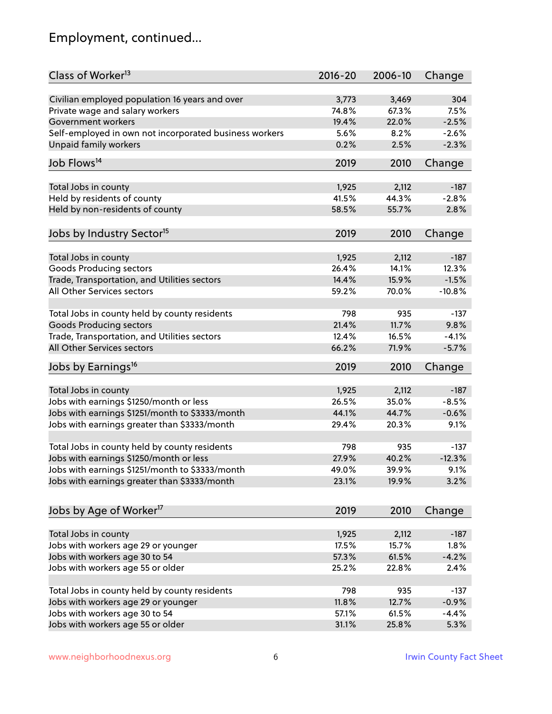# Employment, continued...

| Class of Worker <sup>13</sup>                          | $2016 - 20$    | 2006-10 | Change   |
|--------------------------------------------------------|----------------|---------|----------|
| Civilian employed population 16 years and over         | 3,773          | 3,469   | 304      |
| Private wage and salary workers                        | 74.8%          | 67.3%   | 7.5%     |
| Government workers                                     | 19.4%          | 22.0%   | $-2.5%$  |
| Self-employed in own not incorporated business workers | 5.6%           | 8.2%    | $-2.6%$  |
| Unpaid family workers                                  | 0.2%           | 2.5%    | $-2.3%$  |
|                                                        |                |         |          |
| Job Flows <sup>14</sup>                                | 2019           | 2010    | Change   |
|                                                        |                |         |          |
| Total Jobs in county                                   | 1,925<br>41.5% | 2,112   | $-187$   |
| Held by residents of county                            |                | 44.3%   | $-2.8%$  |
| Held by non-residents of county                        | 58.5%          | 55.7%   | 2.8%     |
| Jobs by Industry Sector <sup>15</sup>                  | 2019           | 2010    | Change   |
| Total Jobs in county                                   | 1,925          | 2,112   | $-187$   |
| Goods Producing sectors                                | 26.4%          | 14.1%   | 12.3%    |
| Trade, Transportation, and Utilities sectors           | 14.4%          | 15.9%   | $-1.5%$  |
| All Other Services sectors                             | 59.2%          | 70.0%   | $-10.8%$ |
|                                                        |                |         |          |
| Total Jobs in county held by county residents          | 798            | 935     | $-137$   |
| <b>Goods Producing sectors</b>                         | 21.4%          | 11.7%   | 9.8%     |
| Trade, Transportation, and Utilities sectors           | 12.4%          | 16.5%   | $-4.1%$  |
| All Other Services sectors                             | 66.2%          | 71.9%   | $-5.7%$  |
| Jobs by Earnings <sup>16</sup>                         | 2019           | 2010    | Change   |
|                                                        |                |         |          |
| Total Jobs in county                                   | 1,925          | 2,112   | $-187$   |
| Jobs with earnings \$1250/month or less                | 26.5%          | 35.0%   | $-8.5%$  |
| Jobs with earnings \$1251/month to \$3333/month        | 44.1%          | 44.7%   | $-0.6%$  |
| Jobs with earnings greater than \$3333/month           | 29.4%          | 20.3%   | 9.1%     |
| Total Jobs in county held by county residents          | 798            | 935     | $-137$   |
| Jobs with earnings \$1250/month or less                | 27.9%          | 40.2%   | $-12.3%$ |
| Jobs with earnings \$1251/month to \$3333/month        | 49.0%          | 39.9%   | 9.1%     |
| Jobs with earnings greater than \$3333/month           | 23.1%          | 19.9%   | 3.2%     |
|                                                        |                |         |          |
| Jobs by Age of Worker <sup>17</sup>                    | 2019           | 2010    | Change   |
| Total Jobs in county                                   | 1,925          | 2,112   | $-187$   |
| Jobs with workers age 29 or younger                    | 17.5%          | 15.7%   | 1.8%     |
| Jobs with workers age 30 to 54                         | 57.3%          | 61.5%   | $-4.2%$  |
| Jobs with workers age 55 or older                      | 25.2%          | 22.8%   | 2.4%     |
|                                                        |                |         |          |
| Total Jobs in county held by county residents          | 798            | 935     | $-137$   |
| Jobs with workers age 29 or younger                    | 11.8%          | 12.7%   | $-0.9%$  |
| Jobs with workers age 30 to 54                         | 57.1%          | 61.5%   | $-4.4%$  |
| Jobs with workers age 55 or older                      | 31.1%          | 25.8%   | 5.3%     |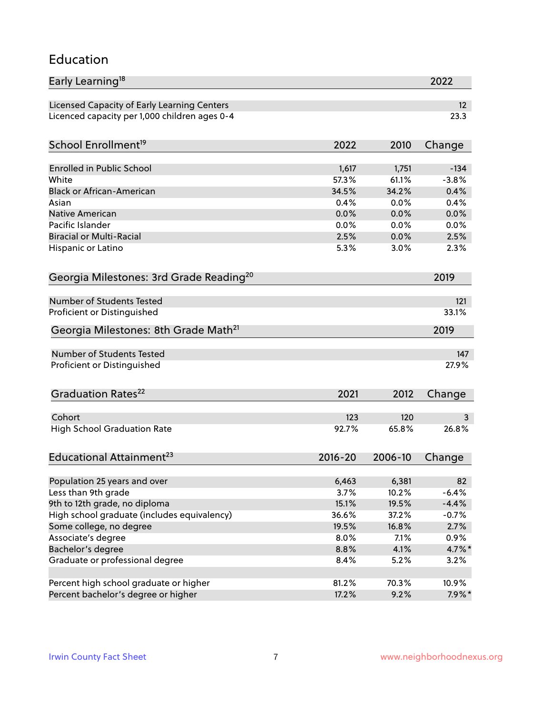#### Education

| Early Learning <sup>18</sup>                        |             |         | 2022            |
|-----------------------------------------------------|-------------|---------|-----------------|
| Licensed Capacity of Early Learning Centers         |             |         | 12 <sup>2</sup> |
| Licenced capacity per 1,000 children ages 0-4       |             |         | 23.3            |
| School Enrollment <sup>19</sup>                     | 2022        | 2010    | Change          |
|                                                     |             |         |                 |
| <b>Enrolled in Public School</b>                    | 1,617       | 1,751   | $-134$          |
| White                                               | 57.3%       | 61.1%   | $-3.8%$         |
| <b>Black or African-American</b>                    | 34.5%       | 34.2%   | 0.4%            |
| Asian                                               | 0.4%        | 0.0%    | 0.4%            |
| <b>Native American</b>                              | 0.0%        | 0.0%    | 0.0%            |
| Pacific Islander                                    | 0.0%        | 0.0%    | 0.0%            |
| <b>Biracial or Multi-Racial</b>                     | 2.5%        | 0.0%    | 2.5%            |
| Hispanic or Latino                                  | 5.3%        | 3.0%    | 2.3%            |
| Georgia Milestones: 3rd Grade Reading <sup>20</sup> |             |         | 2019            |
|                                                     |             |         |                 |
| Number of Students Tested                           |             |         | 121             |
| Proficient or Distinguished                         |             |         | 33.1%           |
| Georgia Milestones: 8th Grade Math <sup>21</sup>    |             |         | 2019            |
| <b>Number of Students Tested</b>                    |             |         | 147             |
| Proficient or Distinguished                         |             |         | 27.9%           |
|                                                     |             |         |                 |
| Graduation Rates <sup>22</sup>                      | 2021        | 2012    | Change          |
| Cohort                                              | 123         | 120     | 3               |
| <b>High School Graduation Rate</b>                  | 92.7%       | 65.8%   | 26.8%           |
|                                                     |             |         |                 |
| Educational Attainment <sup>23</sup>                | $2016 - 20$ | 2006-10 | Change          |
| Population 25 years and over                        | 6,463       | 6,381   | 82              |
| Less than 9th grade                                 | 3.7%        | 10.2%   | $-6.4%$         |
| 9th to 12th grade, no diploma                       | 15.1%       | 19.5%   | $-4.4%$         |
| High school graduate (includes equivalency)         | 36.6%       | 37.2%   | $-0.7%$         |
| Some college, no degree                             | 19.5%       | 16.8%   | 2.7%            |
| Associate's degree                                  | 8.0%        | 7.1%    | 0.9%            |
| Bachelor's degree                                   | 8.8%        | 4.1%    | $4.7\%$ *       |
| Graduate or professional degree                     | 8.4%        | 5.2%    |                 |
|                                                     |             |         | 3.2%            |
| Percent high school graduate or higher              | 81.2%       | 70.3%   | 10.9%           |
| Percent bachelor's degree or higher                 | 17.2%       | 9.2%    | $7.9\%*$        |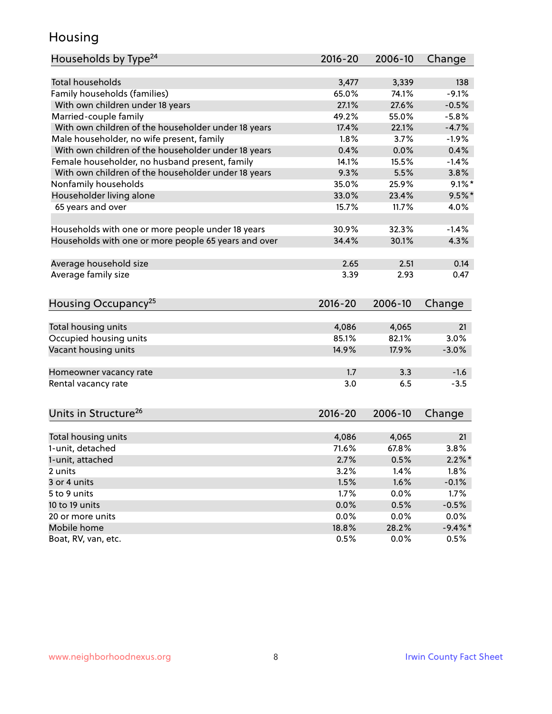#### Housing

| Households by Type <sup>24</sup>                     | 2016-20     | 2006-10 | Change     |
|------------------------------------------------------|-------------|---------|------------|
|                                                      |             |         |            |
| <b>Total households</b>                              | 3,477       | 3,339   | 138        |
| Family households (families)                         | 65.0%       | 74.1%   | $-9.1%$    |
| With own children under 18 years                     | 27.1%       | 27.6%   | $-0.5%$    |
| Married-couple family                                | 49.2%       | 55.0%   | $-5.8%$    |
| With own children of the householder under 18 years  | 17.4%       | 22.1%   | $-4.7%$    |
| Male householder, no wife present, family            | 1.8%        | 3.7%    | $-1.9%$    |
| With own children of the householder under 18 years  | 0.4%        | 0.0%    | 0.4%       |
| Female householder, no husband present, family       | 14.1%       | 15.5%   | $-1.4%$    |
| With own children of the householder under 18 years  | 9.3%        | 5.5%    | 3.8%       |
| Nonfamily households                                 | 35.0%       | 25.9%   | $9.1\%$ *  |
| Householder living alone                             | 33.0%       | 23.4%   | $9.5%$ *   |
| 65 years and over                                    | 15.7%       | 11.7%   | 4.0%       |
|                                                      |             |         |            |
| Households with one or more people under 18 years    | 30.9%       | 32.3%   | $-1.4%$    |
| Households with one or more people 65 years and over | 34.4%       | 30.1%   | 4.3%       |
|                                                      |             |         |            |
| Average household size                               | 2.65        | 2.51    | 0.14       |
| Average family size                                  | 3.39        | 2.93    | 0.47       |
| Housing Occupancy <sup>25</sup>                      | $2016 - 20$ | 2006-10 | Change     |
|                                                      |             |         |            |
| Total housing units                                  | 4,086       | 4,065   | 21         |
| Occupied housing units                               | 85.1%       | 82.1%   | 3.0%       |
| Vacant housing units                                 | 14.9%       | 17.9%   | $-3.0%$    |
|                                                      |             |         |            |
| Homeowner vacancy rate                               | 1.7         | 3.3     | $-1.6$     |
| Rental vacancy rate                                  | 3.0         | 6.5     | $-3.5$     |
|                                                      |             |         |            |
| Units in Structure <sup>26</sup>                     | 2016-20     | 2006-10 | Change     |
|                                                      |             |         |            |
| Total housing units                                  | 4,086       | 4,065   | 21         |
| 1-unit, detached                                     | 71.6%       | 67.8%   | 3.8%       |
| 1-unit, attached                                     | 2.7%        | 0.5%    | $2.2\%$ *  |
| 2 units                                              | 3.2%        | 1.4%    | 1.8%       |
| 3 or 4 units                                         | 1.5%        | 1.6%    | $-0.1%$    |
| 5 to 9 units                                         | 1.7%        | 0.0%    | 1.7%       |
| 10 to 19 units                                       | 0.0%        | 0.5%    | $-0.5%$    |
| 20 or more units                                     | 0.0%        | 0.0%    | 0.0%       |
| Mobile home                                          | 18.8%       | 28.2%   | $-9.4\%$ * |
| Boat, RV, van, etc.                                  | 0.5%        | 0.0%    | 0.5%       |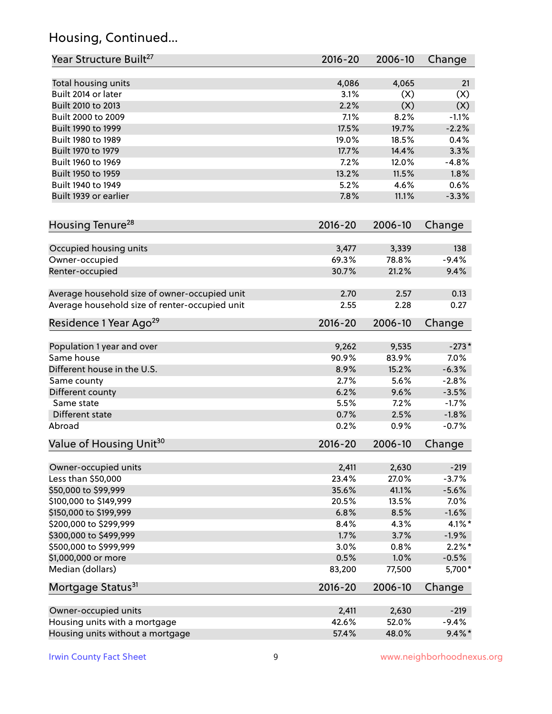# Housing, Continued...

| Year Structure Built <sup>27</sup>             | 2016-20     | 2006-10 | Change    |
|------------------------------------------------|-------------|---------|-----------|
| Total housing units                            | 4,086       | 4,065   | 21        |
| Built 2014 or later                            | 3.1%        | (X)     | (X)       |
| Built 2010 to 2013                             | 2.2%        | (X)     | (X)       |
| Built 2000 to 2009                             | 7.1%        | 8.2%    | $-1.1%$   |
| Built 1990 to 1999                             | 17.5%       | 19.7%   | $-2.2%$   |
| Built 1980 to 1989                             | 19.0%       | 18.5%   | 0.4%      |
| Built 1970 to 1979                             | 17.7%       | 14.4%   | 3.3%      |
| Built 1960 to 1969                             | 7.2%        | 12.0%   | $-4.8%$   |
| Built 1950 to 1959                             | 13.2%       | 11.5%   | 1.8%      |
| Built 1940 to 1949                             | 5.2%        | 4.6%    | 0.6%      |
| Built 1939 or earlier                          | 7.8%        | 11.1%   | $-3.3%$   |
| Housing Tenure <sup>28</sup>                   | $2016 - 20$ | 2006-10 | Change    |
|                                                |             |         |           |
| Occupied housing units                         | 3,477       | 3,339   | 138       |
| Owner-occupied                                 | 69.3%       | 78.8%   | $-9.4%$   |
| Renter-occupied                                | 30.7%       | 21.2%   | 9.4%      |
| Average household size of owner-occupied unit  | 2.70        | 2.57    | 0.13      |
| Average household size of renter-occupied unit | 2.55        | 2.28    | 0.27      |
| Residence 1 Year Ago <sup>29</sup>             | 2016-20     | 2006-10 | Change    |
| Population 1 year and over                     | 9,262       | 9,535   | $-273*$   |
| Same house                                     | 90.9%       | 83.9%   | 7.0%      |
| Different house in the U.S.                    | 8.9%        | 15.2%   | $-6.3%$   |
| Same county                                    | 2.7%        | 5.6%    | $-2.8%$   |
| Different county                               | 6.2%        | 9.6%    | $-3.5%$   |
| Same state                                     | 5.5%        | 7.2%    | $-1.7%$   |
| Different state                                | 0.7%        | 2.5%    | $-1.8%$   |
| Abroad                                         | 0.2%        | 0.9%    | $-0.7%$   |
| Value of Housing Unit <sup>30</sup>            | $2016 - 20$ | 2006-10 | Change    |
|                                                |             |         |           |
| Owner-occupied units                           | 2,411       | 2,630   | $-219$    |
| Less than \$50,000                             | 23.4%       | 27.0%   | $-3.7%$   |
| \$50,000 to \$99,999                           | 35.6%       | 41.1%   | $-5.6%$   |
| \$100,000 to \$149,999                         | 20.5%       | 13.5%   | 7.0%      |
| \$150,000 to \$199,999                         | 6.8%        | 8.5%    | $-1.6%$   |
| \$200,000 to \$299,999                         | 8.4%        | 4.3%    | $4.1\%$ * |
| \$300,000 to \$499,999                         | 1.7%        | 3.7%    | $-1.9%$   |
| \$500,000 to \$999,999                         | 3.0%        | 0.8%    | $2.2\%$ * |
| \$1,000,000 or more                            | 0.5%        | 1.0%    | $-0.5%$   |
| Median (dollars)                               | 83,200      | 77,500  | 5,700*    |
| Mortgage Status <sup>31</sup>                  | 2016-20     | 2006-10 | Change    |
| Owner-occupied units                           | 2,411       | 2,630   | $-219$    |
| Housing units with a mortgage                  | 42.6%       | 52.0%   | $-9.4%$   |
| Housing units without a mortgage               | 57.4%       | 48.0%   | $9.4\%$ * |
|                                                |             |         |           |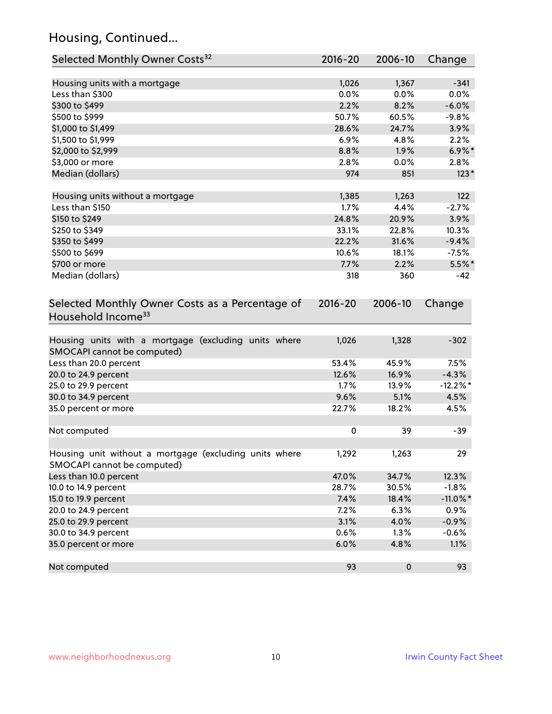# Housing, Continued...

| Selected Monthly Owner Costs <sup>32</sup>                                            | 2016-20 | 2006-10   | Change      |
|---------------------------------------------------------------------------------------|---------|-----------|-------------|
| Housing units with a mortgage                                                         | 1,026   | 1,367     | $-341$      |
| Less than \$300                                                                       | 0.0%    | 0.0%      | 0.0%        |
| \$300 to \$499                                                                        | 2.2%    | 8.2%      | $-6.0%$     |
| \$500 to \$999                                                                        | 50.7%   | 60.5%     | $-9.8%$     |
| \$1,000 to \$1,499                                                                    | 28.6%   | 24.7%     | 3.9%        |
| \$1,500 to \$1,999                                                                    | 6.9%    | 4.8%      | 2.2%        |
| \$2,000 to \$2,999                                                                    | 8.8%    | 1.9%      | $6.9\%$ *   |
| \$3,000 or more                                                                       | 2.8%    | 0.0%      | 2.8%        |
| Median (dollars)                                                                      | 974     | 851       | $123*$      |
|                                                                                       |         |           |             |
| Housing units without a mortgage                                                      | 1,385   | 1,263     | 122         |
| Less than \$150                                                                       | 1.7%    | 4.4%      | $-2.7%$     |
| \$150 to \$249                                                                        | 24.8%   | 20.9%     | 3.9%        |
| \$250 to \$349                                                                        | 33.1%   | 22.8%     | 10.3%       |
| \$350 to \$499                                                                        | 22.2%   | 31.6%     | $-9.4%$     |
| \$500 to \$699                                                                        | 10.6%   | 18.1%     | $-7.5%$     |
| \$700 or more                                                                         | 7.7%    | 2.2%      | $5.5\%$ *   |
| Median (dollars)                                                                      | 318     | 360       | -42         |
| Selected Monthly Owner Costs as a Percentage of<br>Household Income <sup>33</sup>     |         |           | Change      |
| Housing units with a mortgage (excluding units where<br>SMOCAPI cannot be computed)   | 1,026   | 1,328     | $-302$      |
| Less than 20.0 percent                                                                | 53.4%   | 45.9%     | 7.5%        |
| 20.0 to 24.9 percent                                                                  | 12.6%   | 16.9%     | $-4.3%$     |
| 25.0 to 29.9 percent                                                                  | 1.7%    | 13.9%     | $-12.2\%$ * |
| 30.0 to 34.9 percent                                                                  | 9.6%    | 5.1%      | 4.5%        |
| 35.0 percent or more                                                                  | 22.7%   | 18.2%     | 4.5%        |
| Not computed                                                                          | 0       | 39        | $-39$       |
| Housing unit without a mortgage (excluding units where<br>SMOCAPI cannot be computed) | 1,292   | 1,263     | 29          |
| Less than 10.0 percent                                                                | 47.0%   | 34.7%     | 12.3%       |
| 10.0 to 14.9 percent                                                                  | 28.7%   | 30.5%     | $-1.8%$     |
| 15.0 to 19.9 percent                                                                  | 7.4%    | 18.4%     | $-11.0\%$ * |
| 20.0 to 24.9 percent                                                                  | 7.2%    | 6.3%      | 0.9%        |
| 25.0 to 29.9 percent                                                                  | 3.1%    | 4.0%      | $-0.9%$     |
| 30.0 to 34.9 percent                                                                  | 0.6%    | 1.3%      | $-0.6%$     |
| 35.0 percent or more                                                                  | 6.0%    | 4.8%      | 1.1%        |
| Not computed                                                                          | 93      | $\pmb{0}$ | 93          |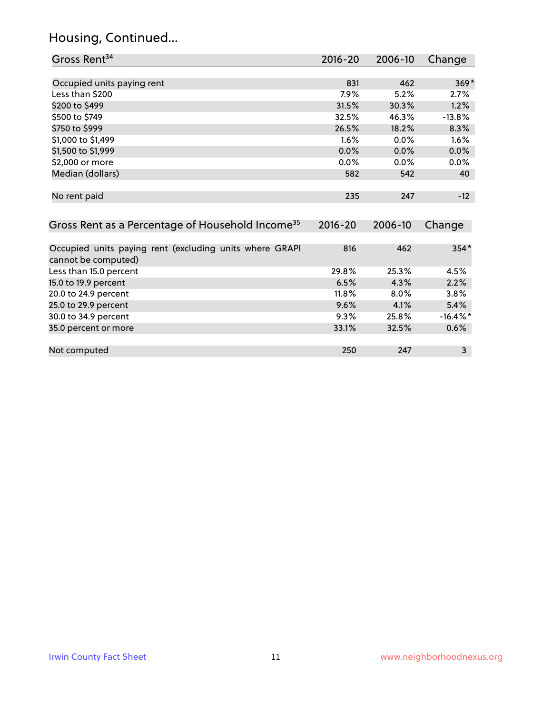# Housing, Continued...

| Gross Rent <sup>34</sup>                                                       | 2016-20 | 2006-10 | Change      |
|--------------------------------------------------------------------------------|---------|---------|-------------|
|                                                                                |         |         |             |
| Occupied units paying rent                                                     | 831     | 462     | $369*$      |
| Less than \$200                                                                | 7.9%    | 5.2%    | 2.7%        |
| \$200 to \$499                                                                 | 31.5%   | 30.3%   | 1.2%        |
| \$500 to \$749                                                                 | 32.5%   | 46.3%   | $-13.8%$    |
| \$750 to \$999                                                                 | 26.5%   | 18.2%   | 8.3%        |
| \$1,000 to \$1,499                                                             | 1.6%    | 0.0%    | 1.6%        |
| \$1,500 to \$1,999                                                             | 0.0%    | 0.0%    | 0.0%        |
| \$2,000 or more                                                                | 0.0%    | 0.0%    | 0.0%        |
| Median (dollars)                                                               | 582     | 542     | 40          |
| No rent paid                                                                   | 235     | 247     | $-12$       |
| Gross Rent as a Percentage of Household Income <sup>35</sup>                   | 2016-20 | 2006-10 | Change      |
|                                                                                |         |         |             |
| Occupied units paying rent (excluding units where GRAPI<br>cannot be computed) | 816     | 462     | $354*$      |
| Less than 15.0 percent                                                         | 29.8%   | 25.3%   | 4.5%        |
| 15.0 to 19.9 percent                                                           | 6.5%    | 4.3%    | 2.2%        |
| 20.0 to 24.9 percent                                                           | 11.8%   | 8.0%    | 3.8%        |
| 25.0 to 29.9 percent                                                           | 9.6%    | 4.1%    | 5.4%        |
| 30.0 to 34.9 percent                                                           | 9.3%    | 25.8%   | $-16.4\%$ * |
| 35.0 percent or more                                                           | 33.1%   | 32.5%   | 0.6%        |
|                                                                                |         |         |             |
| Not computed                                                                   | 250     | 247     | 3           |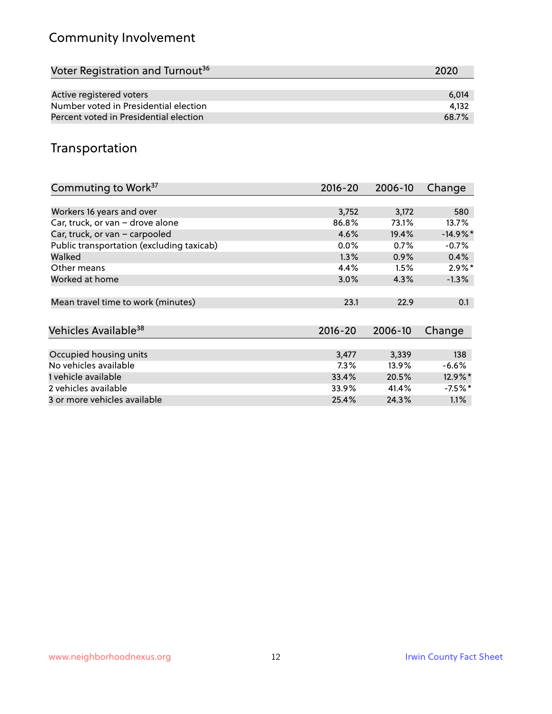# Community Involvement

| Voter Registration and Turnout <sup>36</sup> | 2020  |
|----------------------------------------------|-------|
|                                              |       |
| Active registered voters                     | 6.014 |
| Number voted in Presidential election        | 4.132 |
| Percent voted in Presidential election       | 68.7% |

#### Transportation

| Commuting to Work <sup>37</sup>           | 2016-20     | 2006-10 | Change     |
|-------------------------------------------|-------------|---------|------------|
|                                           |             |         |            |
| Workers 16 years and over                 | 3,752       | 3,172   | 580        |
| Car, truck, or van - drove alone          | 86.8%       | 73.1%   | 13.7%      |
| Car, truck, or van - carpooled            | 4.6%        | 19.4%   | $-14.9%$ * |
| Public transportation (excluding taxicab) | $0.0\%$     | 0.7%    | $-0.7%$    |
| Walked                                    | $1.3\%$     | 0.9%    | 0.4%       |
| Other means                               | 4.4%        | 1.5%    | $2.9\%$ *  |
| Worked at home                            | 3.0%        | 4.3%    | $-1.3%$    |
|                                           |             |         |            |
| Mean travel time to work (minutes)        | 23.1        | 22.9    | 0.1        |
|                                           |             |         |            |
| Vehicles Available <sup>38</sup>          | $2016 - 20$ | 2006-10 | Change     |
|                                           |             |         |            |
| Occupied housing units                    | 3,477       | 3,339   | 138        |
| No vehicles available                     | 7.3%        | 13.9%   | $-6.6%$    |
| 1 vehicle available                       | 33.4%       | 20.5%   | 12.9%*     |
| 2 vehicles available                      | 33.9%       | 41.4%   | $-7.5\%$ * |
| 3 or more vehicles available              | 25.4%       | 24.3%   | $1.1\%$    |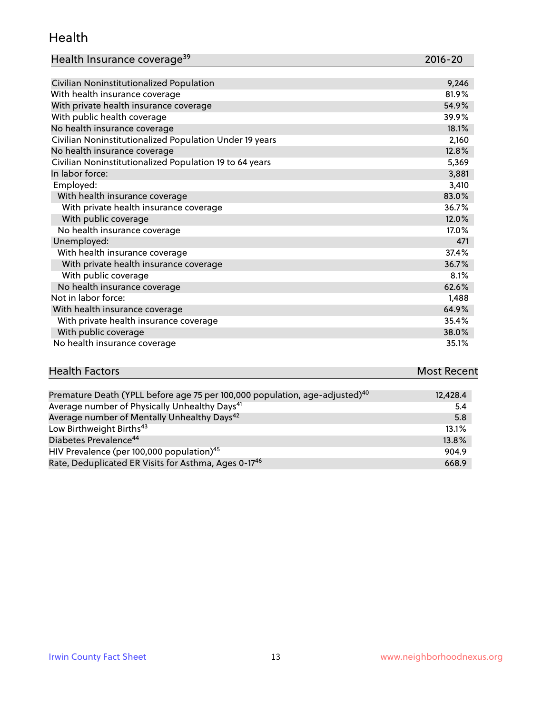#### Health

| Health Insurance coverage <sup>39</sup> | 2016-20 |
|-----------------------------------------|---------|
|-----------------------------------------|---------|

| Civilian Noninstitutionalized Population                | 9,246 |
|---------------------------------------------------------|-------|
| With health insurance coverage                          | 81.9% |
| With private health insurance coverage                  | 54.9% |
| With public health coverage                             | 39.9% |
| No health insurance coverage                            | 18.1% |
| Civilian Noninstitutionalized Population Under 19 years | 2,160 |
| No health insurance coverage                            | 12.8% |
| Civilian Noninstitutionalized Population 19 to 64 years | 5,369 |
| In labor force:                                         | 3,881 |
| Employed:                                               | 3,410 |
| With health insurance coverage                          | 83.0% |
| With private health insurance coverage                  | 36.7% |
| With public coverage                                    | 12.0% |
| No health insurance coverage                            | 17.0% |
| Unemployed:                                             | 471   |
| With health insurance coverage                          | 37.4% |
| With private health insurance coverage                  | 36.7% |
| With public coverage                                    | 8.1%  |
| No health insurance coverage                            | 62.6% |
| Not in labor force:                                     | 1,488 |
| With health insurance coverage                          | 64.9% |
| With private health insurance coverage                  | 35.4% |
| With public coverage                                    | 38.0% |
| No health insurance coverage                            | 35.1% |

# **Health Factors Most Recent** And The Control of the Control of The Control of The Control of The Control of The Control of The Control of The Control of The Control of The Control of The Control of The Control of The Contr

| Premature Death (YPLL before age 75 per 100,000 population, age-adjusted) <sup>40</sup> | 12,428.4 |
|-----------------------------------------------------------------------------------------|----------|
| Average number of Physically Unhealthy Days <sup>41</sup>                               | 5.4      |
| Average number of Mentally Unhealthy Days <sup>42</sup>                                 | 5.8      |
| Low Birthweight Births <sup>43</sup>                                                    | 13.1%    |
| Diabetes Prevalence <sup>44</sup>                                                       | 13.8%    |
| HIV Prevalence (per 100,000 population) <sup>45</sup>                                   | 904.9    |
| Rate, Deduplicated ER Visits for Asthma, Ages 0-17 <sup>46</sup>                        | 668.9    |